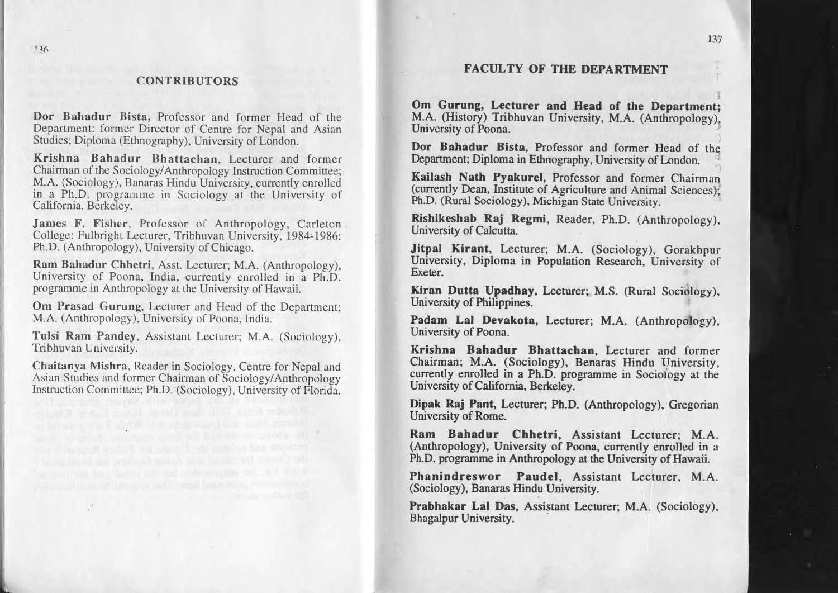## **CONTRIBUTORS**

Dor Bahadur Bista, Professor and former Head of the Department: former Director of Centre for Nepal and Asian Studies; Diploma (Ethnography), University of London.

Krishna Bahadur Bhattachan, Lecturer and former Chairman of the Sociology/Anthropology Instruction Committee; M.A. (Sociology), Banaras Hindu University, currently enrolled in <sup>a</sup> Ph.D. programme in Sociology at the University of California, Berkeley.

James F. Fisher, Professor of Anthropology, Carleton. College: Fulbright Lecturer, Tribhuvan University. 1984: 1986: Ph.D. (Anthropology). University of Chicago.

Ram Bahadur Chhetri, Assl. Lecturer; M.A. (Anthropology). University of Poona, India, currently enrolled in <sup>a</sup> Ph.D. programme in Anthropology at the University of Hawaii.

Om Prasad Gurung, Lecturer and Head of the Department; M.A. (Anthropology), University of Poona. India.

Tulsi Ram Pandey, Assistant Lecturer; M.A. (Sociology), Tribhuvan University.

Chaitanya Mishra, Reader in Sociology, Centre for Nepal and Asian Studies and former Chairman of Sociology/Anthropology Instruction Committee; Ph.D. (Sociology), University of Florida.

B stair that and Ludway Suller, While I an including ment all count securities would construct a continually Om Gurung, Lecturer and Head of the Department; M.A. (History) Tribhuvan University. M.A. (Anthropology) University of Poona.

FACULTY OF THE DEPARTMENT

Dor Bahadur Bista, Professor and former Head of the Department; Diploma in Ethnography, University of London.

Kailash Nath Pyakurel, Professor and former Chairman (currently Dean, Institute of Agriculture and Animal Sciences); Ph.D. (Rural Sociology), Michigan State University.

Rishikeshab Raj Regmi, Reader, Ph.D. (Anthropology), University of Calcutta.

Jitpal Kirant, Lecturer; M.A. (Sociology). Gorakhpur University. Diploma in Population Research. University of Exeter.

Kiran Dutta Upadhay. Lecturer; M.S. (Rural Sociology). University of Philippines.

Padam Lal Devakota, Lecturer; M.A. (Anthropology), University of Poona.

Krishna Bahadur Bhattachan. Lecturer and former Chairman; M.A. (Sociology). Benaras Hindu University. currently enrolled in <sup>a</sup> Ph.D. programme in Sociology at the University of California, Berkeley.

Dipak Raj Pant, Lecturer; Ph.D. (Anthropology). Gregorian University of Rome.

Ram Bahadur Chhetri. Assistant Lecturer; M.A. (Anthropology). University of Poona. currently enrolled in <sup>a</sup> Ph.D. programme in Anthropology at the University of Hawaii.

Phanindreswor Paudel. Assistant Lecturer. M.A. (Sociology), Banaras Hindu University.

Prabhakar Lal Das. Assistant Lecturer; M.A. (Sociology). Bhagalpur University. .